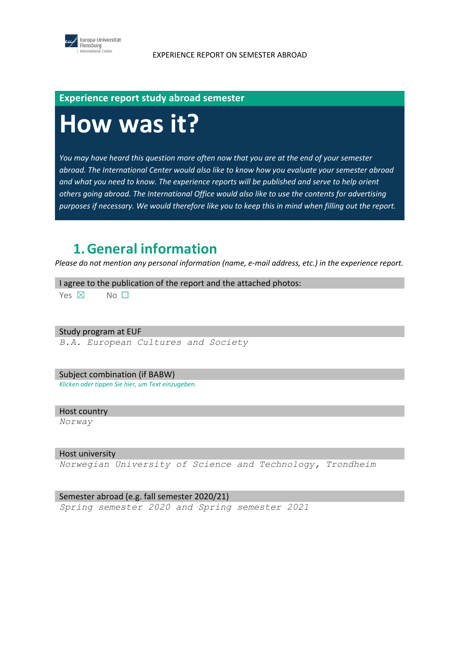

#### **Experience report study abroad semester**

# **How was it?**

*You may have heard this question more often now that you are at the end of your semester abroad. The International Center would also like to know how you evaluate your semester abroad and what you need to know. The experience reports will be published and serve to help orient others going abroad. The International Office would also like to use the contents for advertising purposes if necessary. We would therefore like you to keep this in mind when filling out the report.*

### **1.General information**

*Please do not mention any personal information (name, e-mail address, etc.) in the experience report.*

I agree to the publication of the report and the attached photos:

Yes  $\boxtimes$  No  $\square$ 

#### Study program at EUF

*B.A. European Cultures and Society*

#### Subject combination (if BABW)

*Klicken oder tippen Sie hier, um Text einzugeben.*

#### Host country

*Norway*

#### Host university

*Norwegian University of Science and Technology, Trondheim*

#### Semester abroad (e.g. fall semester 2020/21)

*Spring semester 2020 and Spring semester 2021*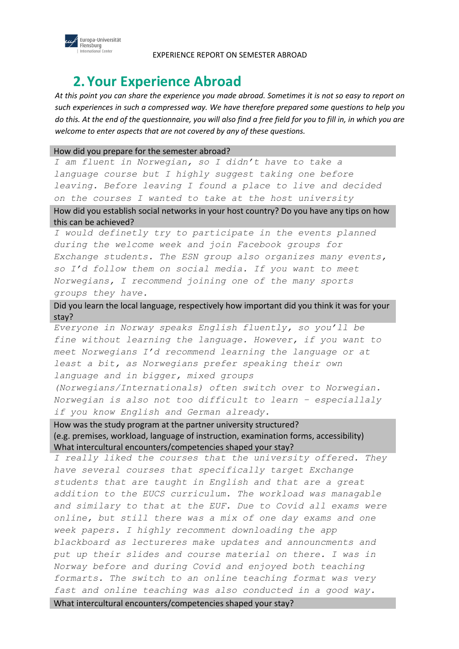

## **2.Your Experience Abroad**

*At this point you can share the experience you made abroad. Sometimes it is not so easy to report on such experiences in such a compressed way. We have therefore prepared some questions to help you do this. At the end of the questionnaire, you will also find a free field for you to fill in, in which you are welcome to enter aspects that are not covered by any of these questions.*

#### How did you prepare for the semester abroad?

*I am fluent in Norwegian, so I didn't have to take a language course but I highly suggest taking one before leaving. Before leaving I found a place to live and decided on the courses I wanted to take at the host university*

How did you establish social networks in your host country? Do you have any tips on how this can be achieved?

*I would definetly try to participate in the events planned during the welcome week and join Facebook groups for Exchange students. The ESN group also organizes many events, so I'd follow them on social media. If you want to meet Norwegians, I recommend joining one of the many sports groups they have.*

Did you learn the local language, respectively how important did you think it was for your stay?

*Everyone in Norway speaks English fluently, so you'll be fine without learning the language. However, if you want to meet Norwegians I'd recommend learning the language or at least a bit, as Norwegians prefer speaking their own language and in bigger, mixed groups* 

*(Norwegians/Internationals) often switch over to Norwegian. Norwegian is also not too difficult to learn – especiallaly if you know English and German already.*

How was the study program at the partner university structured? (e.g. premises, workload, language of instruction, examination forms, accessibility) What intercultural encounters/competencies shaped your stay?

*I really liked the courses that the university offered. They have several courses that specifically target Exchange students that are taught in English and that are a great addition to the EUCS curriculum. The workload was managable and similary to that at the EUF. Due to Covid all exams were online, but still there was a mix of one day exams and one week papers. I highly recomment downloading the app blackboard as lectureres make updates and announcments and put up their slides and course material on there. I was in Norway before and during Covid and enjoyed both teaching formarts. The switch to an online teaching format was very fast and online teaching was also conducted in a good way.*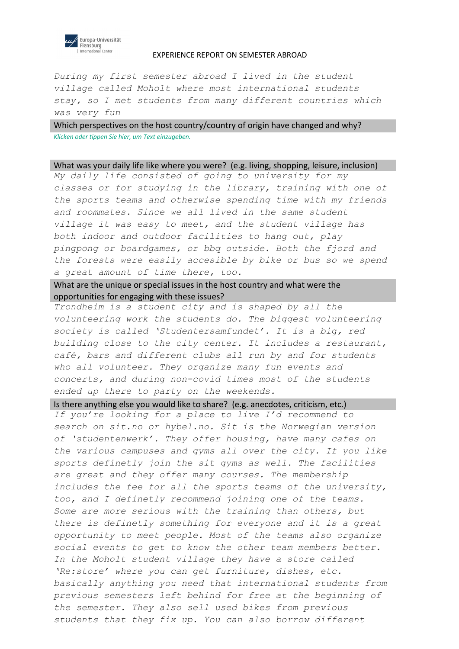

*During my first semester abroad I lived in the student village called Moholt where most international students stay, so I met students from many different countries which was very fun*

Which perspectives on the host country/country of origin have changed and why? *Klicken oder tippen Sie hier, um Text einzugeben.*

#### What was your daily life like where you were? (e.g. living, shopping, leisure, inclusion)

*My daily life consisted of going to university for my classes or for studying in the library, training with one of the sports teams and otherwise spending time with my friends and roommates. Since we all lived in the same student village it was easy to meet, and the student village has both indoor and outdoor facilities to hang out, play pingpong or boardgames, or bbq outside. Both the fjord and the forests were easily accesible by bike or bus so we spend a great amount of time there, too.*

#### What are the unique or special issues in the host country and what were the opportunities for engaging with these issues?

*Trondheim is a student city and is shaped by all the volunteering work the students do. The biggest volunteering society is called 'Studentersamfundet'. It is a big, red building close to the city center. It includes a restaurant, café, bars and different clubs all run by and for students who all volunteer. They organize many fun events and concerts, and during non-covid times most of the students ended up there to party on the weekends.* 

#### Is there anything else you would like to share? (e.g. anecdotes, criticism, etc.)

*If you're looking for a place to live I'd recommend to search on sit.no or hybel.no. Sit is the Norwegian version of 'studentenwerk'. They offer housing, have many cafes on the various campuses and gyms all over the city. If you like sports definetly join the sit gyms as well. The facilities are great and they offer many courses. The membership includes the fee for all the sports teams of the university, too, and I definetly recommend joining one of the teams. Some are more serious with the training than others, but there is definetly something for everyone and it is a great opportunity to meet people. Most of the teams also organize social events to get to know the other team members better. In the Moholt student village they have a store called 'Re:store' where you can get furniture, dishes, etc. basically anything you need that international students from previous semesters left behind for free at the beginning of the semester. They also sell used bikes from previous students that they fix up. You can also borrow different*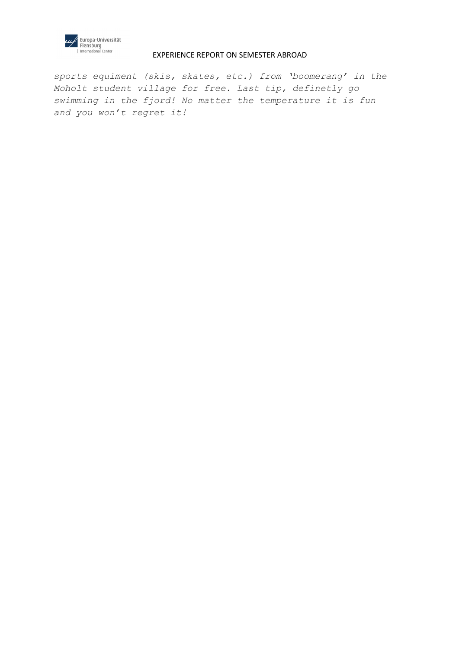

*sports equiment (skis, skates, etc.) from 'boomerang' in the Moholt student village for free. Last tip, definetly go swimming in the fjord! No matter the temperature it is fun and you won't regret it!*